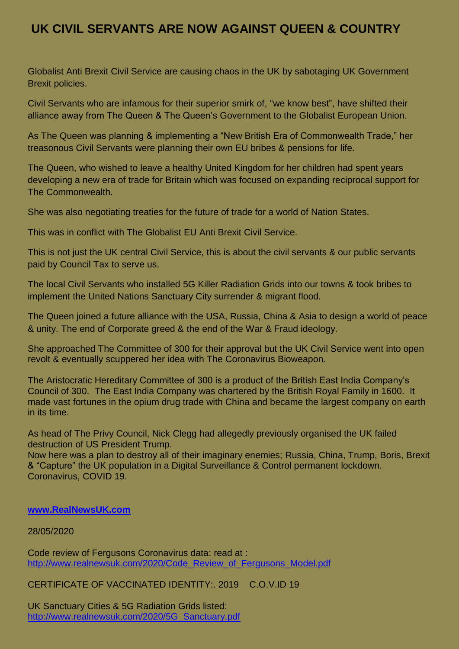# **UK CIVIL SERVANTS ARE NOW AGAINST QUEEN & COUNTRY**

Globalist Anti Brexit Civil Service are causing chaos in the UK by sabotaging UK Government Brexit policies.

Civil Servants who are infamous for their superior smirk of, "we know best", have shifted their alliance away from The Queen & The Queen's Government to the Globalist European Union.

As The Queen was planning & implementing a "New British Era of Commonwealth Trade," her treasonous Civil Servants were planning their own EU bribes & pensions for life.

The Queen, who wished to leave a healthy United Kingdom for her children had spent years developing a new era of trade for Britain which was focused on expanding reciprocal support for The Commonwealth.

She was also negotiating treaties for the future of trade for a world of Nation States.

This was in conflict with The Globalist EU Anti Brexit Civil Service.

This is not just the UK central Civil Service, this is about the civil servants & our public servants paid by Council Tax to serve us.

The local Civil Servants who installed 5G Killer Radiation Grids into our towns & took bribes to implement the United Nations Sanctuary City surrender & migrant flood.

The Queen joined a future alliance with the USA, Russia, China & Asia to design a world of peace & unity. The end of Corporate greed & the end of the War & Fraud ideology.

She approached The Committee of 300 for their approval but the UK Civil Service went into open revolt & eventually scuppered her idea with The Coronavirus Bioweapon.

The Aristocratic Hereditary Committee of 300 is a product of the British East India Company's Council of 300. The East India Company was chartered by the British Royal Family in 1600. It made vast fortunes in the opium drug trade with China and became the largest company on earth in its time.

As head of The Privy Council, Nick Clegg had allegedly previously organised the UK failed destruction of US President Trump.

Now here was a plan to destroy all of their imaginary enemies; Russia, China, Trump, Boris, Brexit & "Capture" the UK population in a Digital Surveillance & Control permanent lockdown. Coronavirus, COVID 19.

#### **[www.RealNewsUK.com](http://www.realnewsuk.com/)**

#### 28/05/2020

Code review of Fergusons Coronavirus data: read at : [http://www.realnewsuk.com/2020/Code\\_Review\\_of\\_Fergusons\\_Model.pdf](http://www.realnewsuk.com/2020/Code_Review_of_Fergusons_Model.pdf)

CERTIFICATE OF VACCINATED IDENTITY:. 2019 C.O.V.ID 19

UK Sanctuary Cities & 5G Radiation Grids listed: [http://www.realnewsuk.com/2020/5G\\_Sanctuary.pdf](http://www.realnewsuk.com/2020/5G_Sanctuary.pdf)